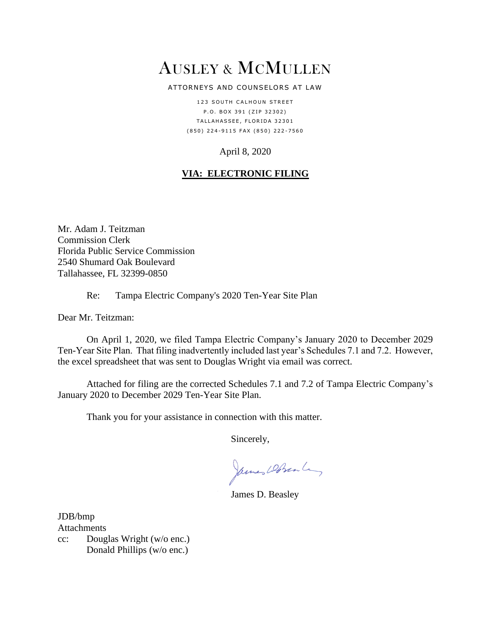# AUSLEY & MCMULLEN

#### ATTORNEYS AND COUNSELORS AT LAW

123 SOUTH CALHOUN STREET P.O. BOX 391 (ZIP 32302) TALLAHASSEE, FLORIDA 32301 ( 8 5 0 ) 2 2 4 - 9 1 1 5 F A X ( 8 5 0 ) 2 2 2 - 7 5 6 0

### April 8, 2020

## **VIA: ELECTRONIC FILING**

Mr. Adam J. Teitzman Commission Clerk Florida Public Service Commission 2540 Shumard Oak Boulevard Tallahassee, FL 32399-0850

#### Re: Tampa Electric Company's 2020 Ten-Year Site Plan

Dear Mr. Teitzman:

On April 1, 2020, we filed Tampa Electric Company's January 2020 to December 2029 Ten-Year Site Plan. That filing inadvertently included last year's Schedules 7.1 and 7.2. However, the excel spreadsheet that was sent to Douglas Wright via email was correct.

Attached for filing are the corrected Schedules 7.1 and 7.2 of Tampa Electric Company's January 2020 to December 2029 Ten-Year Site Plan.

Thank you for your assistance in connection with this matter.

Sincerely,

James Dobrante,

James D. Beasley

JDB/bmp Attachments

cc: Douglas Wright (w/o enc.) Donald Phillips (w/o enc.)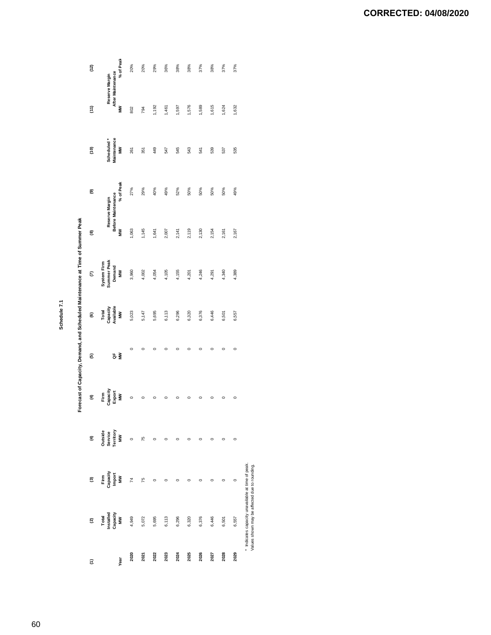**Schedule 7.1**

Forecast of Capacity, Demand, and Scheduled Maintenance at Time of Summer Peak

|             |                                                                                                    |                                  |                                      |                                 |         |                                                    | Forecast of Capacity, Demand, and Scheduled Maintenance at Time of Summer Peak |                                           |           |                                |                                          |           |
|-------------|----------------------------------------------------------------------------------------------------|----------------------------------|--------------------------------------|---------------------------------|---------|----------------------------------------------------|--------------------------------------------------------------------------------|-------------------------------------------|-----------|--------------------------------|------------------------------------------|-----------|
| ε           | $\widehat{\mathbf{c}}$                                                                             | ව                                | E                                    | €                               | ම       | €                                                  | $\epsilon$                                                                     | ම                                         | ම         | ίe)                            | $\widehat{\epsilon}$                     | (12)      |
| <b>Year</b> | Total<br>Installed<br>Capacity<br>MM                                                               | Firm<br>Capacity<br>Import<br>MM | Outside<br>Service<br>Territory<br>Š | Firm<br>Capacity<br>Export<br>Š | Š<br>ă  | Total<br>Capacity<br>Available<br>$\sum_{i=1}^{n}$ | Summer Peak<br>System Firm<br>Demand<br>MN                                     | Before Maintenance<br>Reserve Margin<br>Š | % of Peak | Maintenance<br>Scheduled*<br>Š | After Maintenance<br>Reserve Margin<br>Š | % of Peak |
| 2020        | 4,949                                                                                              | $\overline{74}$                  | $\circ$                              | $\circ$                         | $\circ$ | 5,023                                              | 3,960                                                                          | 1,063                                     | 27%       | 261                            | 802                                      | 20%       |
| 2021        | 5,072                                                                                              | 75                               | 75                                   | $\circ$                         | $\circ$ | 5,147                                              | 4,002                                                                          | 1,145                                     | 29%       | 351                            | 794                                      | 20%       |
| 2022        | 5,695                                                                                              | $\circ$                          | $\circ$                              | $\circ$                         | c       | 5,695                                              | 4,054                                                                          | 1,641                                     | 40%       | 49                             | 1,192                                    | 29%       |
| 2023        | 6,113                                                                                              | $\circ$                          | $\circ$                              | $\circ$                         | $\circ$ | 6,113                                              | 4,105                                                                          | 2,007                                     | 49%       | 547                            | 1,461                                    | 36%       |
| 2024        | 6,296                                                                                              | $\circ$                          | $\circ$                              | $\circ$                         | $\circ$ | 6,296                                              | 4,155                                                                          | 2,141                                     | 52%       | 545                            | 597                                      | 38%       |
| 2025        | 6,320                                                                                              | $\circ$                          | $\circ$                              | $\circ$                         | 0       | 6,320                                              | 4,201                                                                          | 2,119                                     | 50%       | 543                            | ,576                                     | 38%       |
| 2026        | 6,376                                                                                              | C                                | c                                    | $\circ$                         | $\circ$ | 6,376                                              | 4,246                                                                          | 2,130                                     | 50%       | 541                            | ,589                                     | 37%       |
| 2027        | 6,446                                                                                              | $\circ$                          | $\circ$                              | $\circ$                         | $\circ$ | 6,446                                              | 4,291                                                                          | 2,154                                     | 50%       | 539                            | .615                                     | 38%       |
| 2028        | 6,501                                                                                              | $\circ$                          | $\circ$                              | $\circ$                         | $\circ$ | 6,501                                              | 4,340                                                                          | 2,161                                     | 50%       | 537                            | ,624                                     | 37%       |
| 2029        | 6,557                                                                                              | $\circ$                          | $\circ$                              | $\circ$                         | $\circ$ | 6,557                                              | 4,389                                                                          | 2,167                                     | 49%       | 535                            | 1,632                                    | 37%       |
|             | * Indicates capacity unavailable at time of peak.<br>Values shown may be affected due to rounding. |                                  |                                      |                                 |         |                                                    |                                                                                |                                           |           |                                |                                          |           |

**CORRECTED: 04/08/2020**